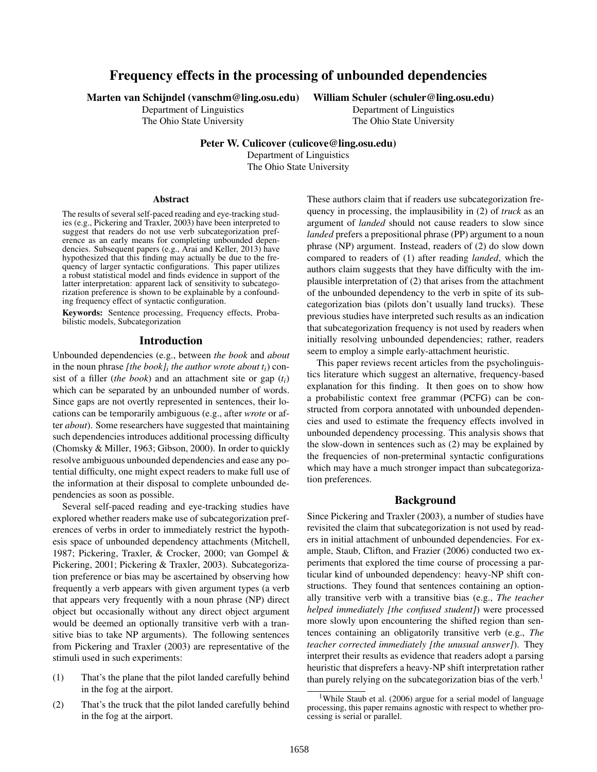# Frequency effects in the processing of unbounded dependencies

Marten van Schijndel (vanschm@ling.osu.edu)

Department of Linguistics The Ohio State University William Schuler (schuler@ling.osu.edu)

Department of Linguistics The Ohio State University

Peter W. Culicover (culicove@ling.osu.edu)

Department of Linguistics The Ohio State University

#### Abstract

The results of several self-paced reading and eye-tracking studies (e.g., Pickering and Traxler, 2003) have been interpreted to suggest that readers do not use verb subcategorization preference as an early means for completing unbounded dependencies. Subsequent papers (e.g., Arai and Keller, 2013) have hypothesized that this finding may actually be due to the frequency of larger syntactic configurations. This paper utilizes a robust statistical model and finds evidence in support of the latter interpretation: apparent lack of sensitivity to subcategorization preference is shown to be explainable by a confounding frequency effect of syntactic configuration.

Keywords: Sentence processing, Frequency effects, Probabilistic models, Subcategorization

#### Introduction

Unbounded dependencies (e.g., between *the book* and *about* in the noun phrase *[the book]<sup>i</sup> the author wrote about ti*) consist of a filler (*the book*) and an attachment site or gap (*ti*) which can be separated by an unbounded number of words. Since gaps are not overtly represented in sentences, their locations can be temporarily ambiguous (e.g., after *wrote* or after *about*). Some researchers have suggested that maintaining such dependencies introduces additional processing difficulty (Chomsky & Miller, 1963; Gibson, 2000). In order to quickly resolve ambiguous unbounded dependencies and ease any potential difficulty, one might expect readers to make full use of the information at their disposal to complete unbounded dependencies as soon as possible.

Several self-paced reading and eye-tracking studies have explored whether readers make use of subcategorization preferences of verbs in order to immediately restrict the hypothesis space of unbounded dependency attachments (Mitchell, 1987; Pickering, Traxler, & Crocker, 2000; van Gompel & Pickering, 2001; Pickering & Traxler, 2003). Subcategorization preference or bias may be ascertained by observing how frequently a verb appears with given argument types (a verb that appears very frequently with a noun phrase (NP) direct object but occasionally without any direct object argument would be deemed an optionally transitive verb with a transitive bias to take NP arguments). The following sentences from Pickering and Traxler (2003) are representative of the stimuli used in such experiments:

- (1) That's the plane that the pilot landed carefully behind in the fog at the airport.
- (2) That's the truck that the pilot landed carefully behind in the fog at the airport.

These authors claim that if readers use subcategorization frequency in processing, the implausibility in (2) of *truck* as an argument of *landed* should not cause readers to slow since *landed* prefers a prepositional phrase (PP) argument to a noun phrase (NP) argument. Instead, readers of (2) do slow down compared to readers of (1) after reading *landed*, which the authors claim suggests that they have difficulty with the implausible interpretation of (2) that arises from the attachment of the unbounded dependency to the verb in spite of its subcategorization bias (pilots don't usually land trucks). These previous studies have interpreted such results as an indication that subcategorization frequency is not used by readers when initially resolving unbounded dependencies; rather, readers seem to employ a simple early-attachment heuristic.

This paper reviews recent articles from the psycholinguistics literature which suggest an alternative, frequency-based explanation for this finding. It then goes on to show how a probabilistic context free grammar (PCFG) can be constructed from corpora annotated with unbounded dependencies and used to estimate the frequency effects involved in unbounded dependency processing. This analysis shows that the slow-down in sentences such as (2) may be explained by the frequencies of non-preterminal syntactic configurations which may have a much stronger impact than subcategorization preferences.

### Background

Since Pickering and Traxler (2003), a number of studies have revisited the claim that subcategorization is not used by readers in initial attachment of unbounded dependencies. For example, Staub, Clifton, and Frazier (2006) conducted two experiments that explored the time course of processing a particular kind of unbounded dependency: heavy-NP shift constructions. They found that sentences containing an optionally transitive verb with a transitive bias (e.g., *The teacher helped immediately [the confused student]*) were processed more slowly upon encountering the shifted region than sentences containing an obligatorily transitive verb (e.g., *The teacher corrected immediately [the unusual answer]*). They interpret their results as evidence that readers adopt a parsing heuristic that disprefers a heavy-NP shift interpretation rather than purely relying on the subcategorization bias of the verb.<sup>1</sup>

<sup>&</sup>lt;sup>1</sup>While Staub et al. (2006) argue for a serial model of language processing, this paper remains agnostic with respect to whether processing is serial or parallel.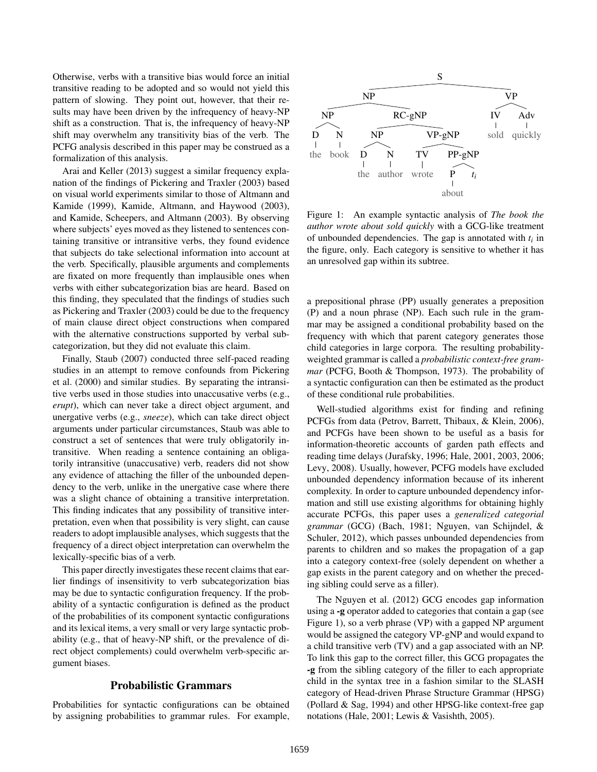Otherwise, verbs with a transitive bias would force an initial transitive reading to be adopted and so would not yield this pattern of slowing. They point out, however, that their results may have been driven by the infrequency of heavy-NP shift as a construction. That is, the infrequency of heavy-NP shift may overwhelm any transitivity bias of the verb. The PCFG analysis described in this paper may be construed as a formalization of this analysis.

Arai and Keller (2013) suggest a similar frequency explanation of the findings of Pickering and Traxler (2003) based on visual world experiments similar to those of Altmann and Kamide (1999), Kamide, Altmann, and Haywood (2003), and Kamide, Scheepers, and Altmann (2003). By observing where subjects' eyes moved as they listened to sentences containing transitive or intransitive verbs, they found evidence that subjects do take selectional information into account at the verb. Specifically, plausible arguments and complements are fixated on more frequently than implausible ones when verbs with either subcategorization bias are heard. Based on this finding, they speculated that the findings of studies such as Pickering and Traxler (2003) could be due to the frequency of main clause direct object constructions when compared with the alternative constructions supported by verbal subcategorization, but they did not evaluate this claim.

Finally, Staub (2007) conducted three self-paced reading studies in an attempt to remove confounds from Pickering et al. (2000) and similar studies. By separating the intransitive verbs used in those studies into unaccusative verbs (e.g., *erupt*), which can never take a direct object argument, and unergative verbs (e.g., *sneeze*), which can take direct object arguments under particular circumstances, Staub was able to construct a set of sentences that were truly obligatorily intransitive. When reading a sentence containing an obligatorily intransitive (unaccusative) verb, readers did not show any evidence of attaching the filler of the unbounded dependency to the verb, unlike in the unergative case where there was a slight chance of obtaining a transitive interpretation. This finding indicates that any possibility of transitive interpretation, even when that possibility is very slight, can cause readers to adopt implausible analyses, which suggests that the frequency of a direct object interpretation can overwhelm the lexically-specific bias of a verb.

This paper directly investigates these recent claims that earlier findings of insensitivity to verb subcategorization bias may be due to syntactic configuration frequency. If the probability of a syntactic configuration is defined as the product of the probabilities of its component syntactic configurations and its lexical items, a very small or very large syntactic probability (e.g., that of heavy-NP shift, or the prevalence of direct object complements) could overwhelm verb-specific argument biases.

## Probabilistic Grammars

Probabilities for syntactic configurations can be obtained by assigning probabilities to grammar rules. For example,



Figure 1: An example syntactic analysis of *The book the author wrote about sold quickly* with a GCG-like treatment of unbounded dependencies. The gap is annotated with *t<sup>i</sup>* in the figure, only. Each category is sensitive to whether it has an unresolved gap within its subtree.

a prepositional phrase (PP) usually generates a preposition (P) and a noun phrase (NP). Each such rule in the grammar may be assigned a conditional probability based on the frequency with which that parent category generates those child categories in large corpora. The resulting probabilityweighted grammar is called a *probabilistic context-free grammar* (PCFG, Booth & Thompson, 1973). The probability of a syntactic configuration can then be estimated as the product of these conditional rule probabilities.

Well-studied algorithms exist for finding and refining PCFGs from data (Petrov, Barrett, Thibaux, & Klein, 2006), and PCFGs have been shown to be useful as a basis for information-theoretic accounts of garden path effects and reading time delays (Jurafsky, 1996; Hale, 2001, 2003, 2006; Levy, 2008). Usually, however, PCFG models have excluded unbounded dependency information because of its inherent complexity. In order to capture unbounded dependency information and still use existing algorithms for obtaining highly accurate PCFGs, this paper uses a *generalized categorial grammar* (GCG) (Bach, 1981; Nguyen, van Schijndel, & Schuler, 2012), which passes unbounded dependencies from parents to children and so makes the propagation of a gap into a category context-free (solely dependent on whether a gap exists in the parent category and on whether the preceding sibling could serve as a filler).

The Nguyen et al. (2012) GCG encodes gap information using a -g operator added to categories that contain a gap (see Figure 1), so a verb phrase (VP) with a gapped NP argument would be assigned the category VP-gNP and would expand to a child transitive verb (TV) and a gap associated with an NP. To link this gap to the correct filler, this GCG propagates the -g from the sibling category of the filler to each appropriate child in the syntax tree in a fashion similar to the SLASH category of Head-driven Phrase Structure Grammar (HPSG) (Pollard & Sag, 1994) and other HPSG-like context-free gap notations (Hale, 2001; Lewis & Vasishth, 2005).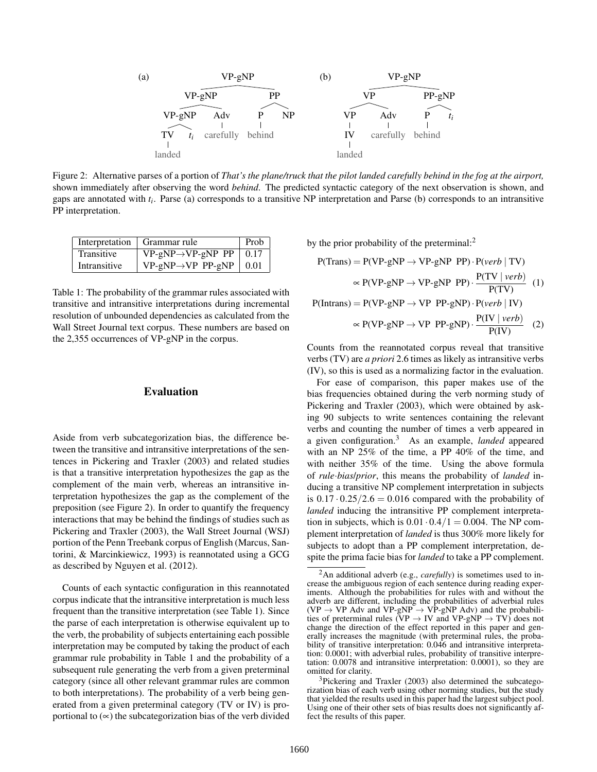

Figure 2: Alternative parses of a portion of *That's the plane/truck that the pilot landed carefully behind in the fog at the airport,* shown immediately after observing the word *behind*. The predicted syntactic category of the next observation is shown, and gaps are annotated with *t<sup>i</sup>* . Parse (a) corresponds to a transitive NP interpretation and Parse (b) corresponds to an intransitive PP interpretation.

|              | Interpretation   Grammar rule       | Prob |
|--------------|-------------------------------------|------|
| Transitive   | $VP-gNP \rightarrow VP-gNP PP$ 0.17 |      |
| Intransitive | $VP-gNP \rightarrow VP PP-gNP$      | 0.01 |

Table 1: The probability of the grammar rules associated with transitive and intransitive interpretations during incremental resolution of unbounded dependencies as calculated from the Wall Street Journal text corpus. These numbers are based on the 2,355 occurrences of VP-gNP in the corpus.

### Evaluation

Aside from verb subcategorization bias, the difference between the transitive and intransitive interpretations of the sentences in Pickering and Traxler (2003) and related studies is that a transitive interpretation hypothesizes the gap as the complement of the main verb, whereas an intransitive interpretation hypothesizes the gap as the complement of the preposition (see Figure 2). In order to quantify the frequency interactions that may be behind the findings of studies such as Pickering and Traxler (2003), the Wall Street Journal (WSJ) portion of the Penn Treebank corpus of English (Marcus, Santorini, & Marcinkiewicz, 1993) is reannotated using a GCG as described by Nguyen et al. (2012).

Counts of each syntactic configuration in this reannotated corpus indicate that the intransitive interpretation is much less frequent than the transitive interpretation (see Table 1). Since the parse of each interpretation is otherwise equivalent up to the verb, the probability of subjects entertaining each possible interpretation may be computed by taking the product of each grammar rule probability in Table 1 and the probability of a subsequent rule generating the verb from a given preterminal category (since all other relevant grammar rules are common to both interpretations). The probability of a verb being generated from a given preterminal category (TV or IV) is proportional to  $(\infty)$  the subcategorization bias of the verb divided by the prior probability of the preterminal:<sup>2</sup>

$$
P(Trans) = P(VP-gNP \rightarrow VP-gNP PP) \cdot P(verb \mid TV)
$$
  
\n
$$
\propto P(VP-gNP \rightarrow VP-gNP PP) \cdot \frac{P(TV \mid verb)}{P(TV)}
$$
  
\n
$$
P(Intrans) = P(VP-gNP \rightarrow VP PP-gNP) \cdot P(verb \mid IV)
$$
  
\n
$$
\propto P(VP-gNP \rightarrow VP PP-gNP) \cdot \frac{P(IV \mid verb)}{P(IV)}
$$
  
\n(2)

Counts from the reannotated corpus reveal that transitive verbs (TV) are *a priori* 2.6 times as likely as intransitive verbs (IV), so this is used as a normalizing factor in the evaluation.

For ease of comparison, this paper makes use of the bias frequencies obtained during the verb norming study of Pickering and Traxler (2003), which were obtained by asking 90 subjects to write sentences containing the relevant verbs and counting the number of times a verb appeared in a given configuration.<sup>3</sup> As an example, *landed* appeared with an NP 25% of the time, a PP 40% of the time, and with neither 35% of the time. Using the above formula of *rule*·*bias*/*prior*, this means the probability of *landed* inducing a transitive NP complement interpretation in subjects is  $0.17 \cdot 0.25 / 2.6 = 0.016$  compared with the probability of *landed* inducing the intransitive PP complement interpretation in subjects, which is  $0.01 \cdot 0.4/1 = 0.004$ . The NP complement interpretation of *landed* is thus 300% more likely for subjects to adopt than a PP complement interpretation, despite the prima facie bias for *landed* to take a PP complement.

<sup>2</sup>An additional adverb (e.g., *carefully*) is sometimes used to increase the ambiguous region of each sentence during reading experiments. Although the probabilities for rules with and without the adverb are different, including the probabilities of adverbial rules  $(VP \rightarrow VP$  Adv and  $VP-gNP \rightarrow VP-gNP$  Adv) and the probabilities of preterminal rules  $(VP \rightarrow IV$  and  $VP-gNP \rightarrow TV$ ) does not change the direction of the effect reported in this paper and generally increases the magnitude (with preterminal rules, the probability of transitive interpretation: 0.046 and intransitive interpretation: 0.0001; with adverbial rules, probability of transitive interpretation: 0.0078 and intransitive interpretation: 0.0001), so they are omitted for clarity.

<sup>&</sup>lt;sup>3</sup>Pickering and Traxler (2003) also determined the subcategorization bias of each verb using other norming studies, but the study that yielded the results used in this paper had the largest subject pool. Using one of their other sets of bias results does not significantly affect the results of this paper.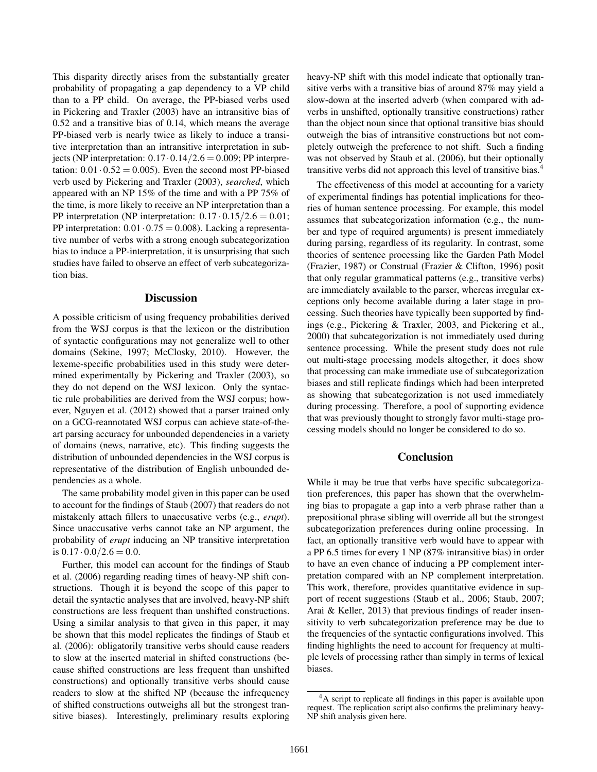This disparity directly arises from the substantially greater probability of propagating a gap dependency to a VP child than to a PP child. On average, the PP-biased verbs used in Pickering and Traxler (2003) have an intransitive bias of 0.52 and a transitive bias of 0.14, which means the average PP-biased verb is nearly twice as likely to induce a transitive interpretation than an intransitive interpretation in subjects (NP interpretation:  $0.17 \cdot 0.14/2.6 = 0.009$ ; PP interpretation:  $0.01 \cdot 0.52 = 0.005$ . Even the second most PP-biased verb used by Pickering and Traxler (2003), *searched*, which appeared with an NP 15% of the time and with a PP 75% of the time, is more likely to receive an NP interpretation than a PP interpretation (NP interpretation:  $0.17 \cdot 0.15/2.6 = 0.01$ ; PP interpretation:  $0.01 \cdot 0.75 = 0.008$ ). Lacking a representative number of verbs with a strong enough subcategorization bias to induce a PP-interpretation, it is unsurprising that such studies have failed to observe an effect of verb subcategorization bias.

#### **Discussion**

A possible criticism of using frequency probabilities derived from the WSJ corpus is that the lexicon or the distribution of syntactic configurations may not generalize well to other domains (Sekine, 1997; McClosky, 2010). However, the lexeme-specific probabilities used in this study were determined experimentally by Pickering and Traxler (2003), so they do not depend on the WSJ lexicon. Only the syntactic rule probabilities are derived from the WSJ corpus; however, Nguyen et al. (2012) showed that a parser trained only on a GCG-reannotated WSJ corpus can achieve state-of-theart parsing accuracy for unbounded dependencies in a variety of domains (news, narrative, etc). This finding suggests the distribution of unbounded dependencies in the WSJ corpus is representative of the distribution of English unbounded dependencies as a whole.

The same probability model given in this paper can be used to account for the findings of Staub (2007) that readers do not mistakenly attach fillers to unaccusative verbs (e.g., *erupt*). Since unaccusative verbs cannot take an NP argument, the probability of *erupt* inducing an NP transitive interpretation is  $0.17 \cdot 0.0 / 2.6 = 0.0$ .

Further, this model can account for the findings of Staub et al. (2006) regarding reading times of heavy-NP shift constructions. Though it is beyond the scope of this paper to detail the syntactic analyses that are involved, heavy-NP shift constructions are less frequent than unshifted constructions. Using a similar analysis to that given in this paper, it may be shown that this model replicates the findings of Staub et al. (2006): obligatorily transitive verbs should cause readers to slow at the inserted material in shifted constructions (because shifted constructions are less frequent than unshifted constructions) and optionally transitive verbs should cause readers to slow at the shifted NP (because the infrequency of shifted constructions outweighs all but the strongest transitive biases). Interestingly, preliminary results exploring heavy-NP shift with this model indicate that optionally transitive verbs with a transitive bias of around 87% may yield a slow-down at the inserted adverb (when compared with adverbs in unshifted, optionally transitive constructions) rather than the object noun since that optional transitive bias should outweigh the bias of intransitive constructions but not completely outweigh the preference to not shift. Such a finding was not observed by Staub et al. (2006), but their optionally transitive verbs did not approach this level of transitive bias.<sup>4</sup>

The effectiveness of this model at accounting for a variety of experimental findings has potential implications for theories of human sentence processing. For example, this model assumes that subcategorization information (e.g., the number and type of required arguments) is present immediately during parsing, regardless of its regularity. In contrast, some theories of sentence processing like the Garden Path Model (Frazier, 1987) or Construal (Frazier & Clifton, 1996) posit that only regular grammatical patterns (e.g., transitive verbs) are immediately available to the parser, whereas irregular exceptions only become available during a later stage in processing. Such theories have typically been supported by findings (e.g., Pickering & Traxler, 2003, and Pickering et al., 2000) that subcategorization is not immediately used during sentence processing. While the present study does not rule out multi-stage processing models altogether, it does show that processing can make immediate use of subcategorization biases and still replicate findings which had been interpreted as showing that subcategorization is not used immediately during processing. Therefore, a pool of supporting evidence that was previously thought to strongly favor multi-stage processing models should no longer be considered to do so.

### Conclusion

While it may be true that verbs have specific subcategorization preferences, this paper has shown that the overwhelming bias to propagate a gap into a verb phrase rather than a prepositional phrase sibling will override all but the strongest subcategorization preferences during online processing. In fact, an optionally transitive verb would have to appear with a PP 6.5 times for every 1 NP (87% intransitive bias) in order to have an even chance of inducing a PP complement interpretation compared with an NP complement interpretation. This work, therefore, provides quantitative evidence in support of recent suggestions (Staub et al., 2006; Staub, 2007; Arai & Keller, 2013) that previous findings of reader insensitivity to verb subcategorization preference may be due to the frequencies of the syntactic configurations involved. This finding highlights the need to account for frequency at multiple levels of processing rather than simply in terms of lexical biases.

<sup>&</sup>lt;sup>4</sup>A script to replicate all findings in this paper is available upon request. The replication script also confirms the preliminary heavy-NP shift analysis given here.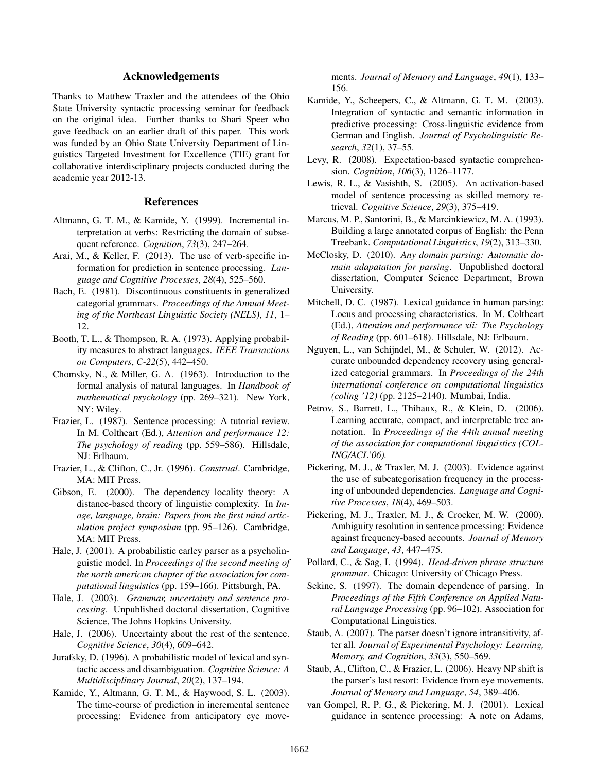### Acknowledgements

Thanks to Matthew Traxler and the attendees of the Ohio State University syntactic processing seminar for feedback on the original idea. Further thanks to Shari Speer who gave feedback on an earlier draft of this paper. This work was funded by an Ohio State University Department of Linguistics Targeted Investment for Excellence (TIE) grant for collaborative interdisciplinary projects conducted during the academic year 2012-13.

#### References

- Altmann, G. T. M., & Kamide, Y. (1999). Incremental interpretation at verbs: Restricting the domain of subsequent reference. *Cognition*, *73*(3), 247–264.
- Arai, M., & Keller, F. (2013). The use of verb-specific information for prediction in sentence processing. *Language and Cognitive Processes*, *28*(4), 525–560.
- Bach, E. (1981). Discontinuous constituents in generalized categorial grammars. *Proceedings of the Annual Meeting of the Northeast Linguistic Society (NELS)*, *11*, 1– 12.
- Booth, T. L., & Thompson, R. A. (1973). Applying probability measures to abstract languages. *IEEE Transactions on Computers*, *C-22*(5), 442–450.
- Chomsky, N., & Miller, G. A. (1963). Introduction to the formal analysis of natural languages. In *Handbook of mathematical psychology* (pp. 269–321). New York, NY: Wiley.
- Frazier, L. (1987). Sentence processing: A tutorial review. In M. Coltheart (Ed.), *Attention and performance 12: The psychology of reading* (pp. 559–586). Hillsdale, NJ: Erlbaum.
- Frazier, L., & Clifton, C., Jr. (1996). *Construal*. Cambridge, MA: MIT Press.
- Gibson, E. (2000). The dependency locality theory: A distance-based theory of linguistic complexity. In *Image, language, brain: Papers from the first mind articulation project symposium* (pp. 95–126). Cambridge, MA: MIT Press.
- Hale, J. (2001). A probabilistic earley parser as a psycholinguistic model. In *Proceedings of the second meeting of the north american chapter of the association for computational linguistics* (pp. 159–166). Pittsburgh, PA.
- Hale, J. (2003). *Grammar, uncertainty and sentence processing*. Unpublished doctoral dissertation, Cognitive Science, The Johns Hopkins University.
- Hale, J. (2006). Uncertainty about the rest of the sentence. *Cognitive Science*, *30*(4), 609–642.
- Jurafsky, D. (1996). A probabilistic model of lexical and syntactic access and disambiguation. *Cognitive Science: A Multidisciplinary Journal*, *20*(2), 137–194.
- Kamide, Y., Altmann, G. T. M., & Haywood, S. L. (2003). The time-course of prediction in incremental sentence processing: Evidence from anticipatory eye move-

ments. *Journal of Memory and Language*, *49*(1), 133– 156.

- Kamide, Y., Scheepers, C., & Altmann, G. T. M. (2003). Integration of syntactic and semantic information in predictive processing: Cross-linguistic evidence from German and English. *Journal of Psycholinguistic Research*, *32*(1), 37–55.
- Levy, R. (2008). Expectation-based syntactic comprehension. *Cognition*, *106*(3), 1126–1177.
- Lewis, R. L., & Vasishth, S. (2005). An activation-based model of sentence processing as skilled memory retrieval. *Cognitive Science*, *29*(3), 375–419.
- Marcus, M. P., Santorini, B., & Marcinkiewicz, M. A. (1993). Building a large annotated corpus of English: the Penn Treebank. *Computational Linguistics*, *19*(2), 313–330.
- McClosky, D. (2010). *Any domain parsing: Automatic domain adapatation for parsing*. Unpublished doctoral dissertation, Computer Science Department, Brown University.
- Mitchell, D. C. (1987). Lexical guidance in human parsing: Locus and processing characteristics. In M. Coltheart (Ed.), *Attention and performance xii: The Psychology of Reading* (pp. 601–618). Hillsdale, NJ: Erlbaum.
- Nguyen, L., van Schijndel, M., & Schuler, W. (2012). Accurate unbounded dependency recovery using generalized categorial grammars. In *Proceedings of the 24th international conference on computational linguistics (coling '12)* (pp. 2125–2140). Mumbai, India.
- Petrov, S., Barrett, L., Thibaux, R., & Klein, D. (2006). Learning accurate, compact, and interpretable tree annotation. In *Proceedings of the 44th annual meeting of the association for computational linguistics (COL-ING/ACL'06).*
- Pickering, M. J., & Traxler, M. J. (2003). Evidence against the use of subcategorisation frequency in the processing of unbounded dependencies. *Language and Cognitive Processes*, *18*(4), 469–503.
- Pickering, M. J., Traxler, M. J., & Crocker, M. W. (2000). Ambiguity resolution in sentence processing: Evidence against frequency-based accounts. *Journal of Memory and Language*, *43*, 447–475.
- Pollard, C., & Sag, I. (1994). *Head-driven phrase structure grammar*. Chicago: University of Chicago Press.
- Sekine, S. (1997). The domain dependence of parsing. In *Proceedings of the Fifth Conference on Applied Natural Language Processing* (pp. 96–102). Association for Computational Linguistics.
- Staub, A. (2007). The parser doesn't ignore intransitivity, after all. *Journal of Experimental Psychology: Learning, Memory, and Cognition*, *33*(3), 550–569.
- Staub, A., Clifton, C., & Frazier, L. (2006). Heavy NP shift is the parser's last resort: Evidence from eye movements. *Journal of Memory and Language*, *54*, 389–406.
- van Gompel, R. P. G., & Pickering, M. J. (2001). Lexical guidance in sentence processing: A note on Adams,